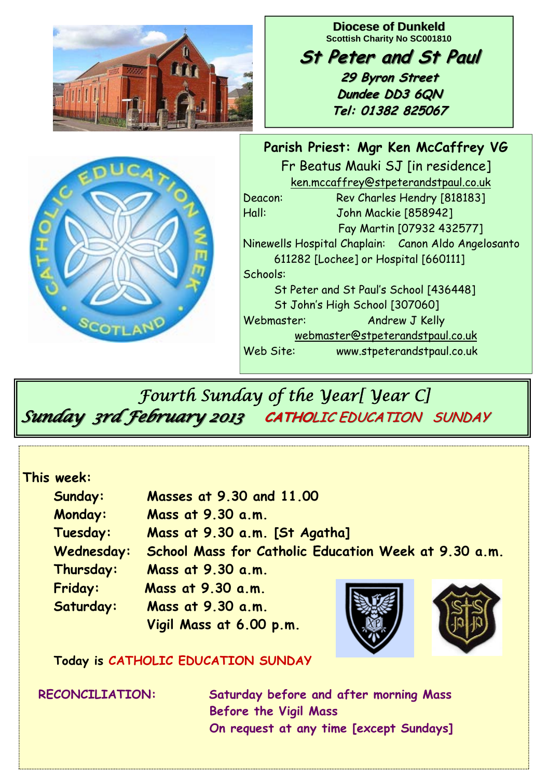

 *Fourth Sunday of the Year[ Year C] Sunday 3rd February 2013 Sunday 3rd February 2013* **CATHO**LIC EDUCATION SUNDAY LIC EDUCATION SUNDAY

#### **This week:**

| Sunday:        | Masses at 9.30 and 11.00                             |  |
|----------------|------------------------------------------------------|--|
| <b>Monday:</b> | Mass at 9.30 a.m.                                    |  |
| Tuesday:       | Mass at 9.30 a.m. [St Agatha]                        |  |
| Wednesday:     | School Mass for Catholic Education Week at 9.30 a.m. |  |
| Thursday:      | Mass at 9.30 a.m.                                    |  |
| Friday:        | Mass at 9.30 a.m.                                    |  |
| Saturday:      | Mass at 9.30 a.m.                                    |  |
|                | Vigil Mass at 6.00 p.m.                              |  |

 **Today is CATHOLIC EDUCATION SUNDAY** 

 **RECONCILIATION: Saturday before and after morning Mass Before the Vigil Mass On request at any time [except Sundays]**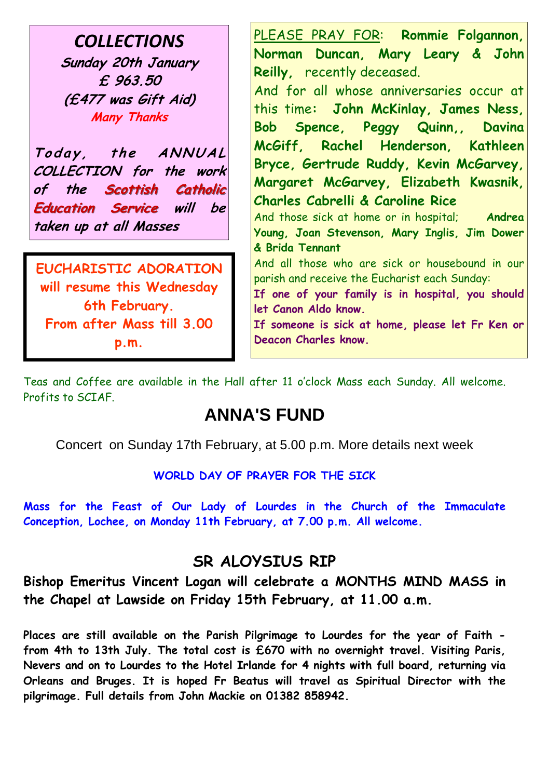*COLLECTIONS* **Sunday 20th January £ 963.50 (£477 was Gift Aid) Many Thanks** 

Today, the ANNUAL **COLLECTION for the work**  of the Scottish Catholic **Education Service will be taken up at all Masses** 

**EUCHARISTIC ADORATION will resume this Wednesday 6th February. From after Mass till 3.00 p.m.** 

PLEASE PRAY FOR: **Rommie Folgannon, Norman Duncan, Mary Leary & John Reilly,** recently deceased. And for all whose anniversaries occur at

this time**: John McKinlay, James Ness, Bob Spence, Peggy Quinn,, Davina McGiff, Rachel Henderson, Kathleen Bryce, Gertrude Ruddy, Kevin McGarvey, Margaret McGarvey, Elizabeth Kwasnik, Charles Cabrelli & Caroline Rice**

And those sick at home or in hospital; **Andrea Young, Joan Stevenson, Mary Inglis, Jim Dower & Brida Tennant**

And all those who are sick or housebound in our parish and receive the Eucharist each Sunday:

**If one of your family is in hospital, you should let Canon Aldo know.** 

**If someone is sick at home, please let Fr Ken or Deacon Charles know.**

Teas and Coffee are available in the Hall after 11 o'clock Mass each Sunday. All welcome. Profits to SCIAF.

## **ANNA'S FUND**

Concert on Sunday 17th February, at 5.00 p.m. More details next week

#### **WORLD DAY OF PRAYER FOR THE SICK**

**Mass for the Feast of Our Lady of Lourdes in the Church of the Immaculate Conception, Lochee, on Monday 11th February, at 7.00 p.m. All welcome.** 

### **SR ALOYSIUS RIP**

**Bishop Emeritus Vincent Logan will celebrate a MONTHS MIND MASS in the Chapel at Lawside on Friday 15th February, at 11.00 a.m.** 

**Places are still available on the Parish Pilgrimage to Lourdes for the year of Faith from 4th to 13th July. The total cost is £670 with no overnight travel. Visiting Paris, Nevers and on to Lourdes to the Hotel Irlande for 4 nights with full board, returning via Orleans and Bruges. It is hoped Fr Beatus will travel as Spiritual Director with the pilgrimage. Full details from John Mackie on 01382 858942.**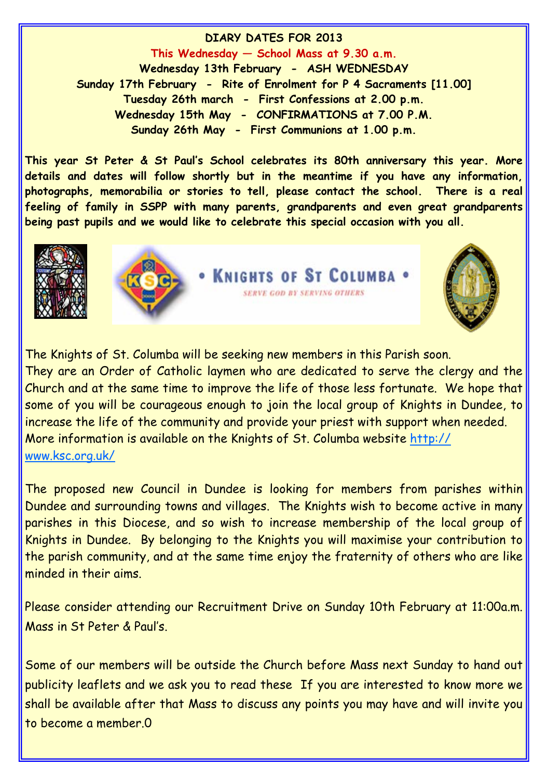**DIARY DATES FOR 2013 This Wednesday — School Mass at 9.30 a.m. Wednesday 13th February - ASH WEDNESDAY Sunday 17th February - Rite of Enrolment for P 4 Sacraments [11.00] Tuesday 26th march - First Confessions at 2.00 p.m. Wednesday 15th May - CONFIRMATIONS at 7.00 P.M. Sunday 26th May - First Communions at 1.00 p.m.** 

**This year St Peter & St Paul's School celebrates its 80th anniversary this year. More details and dates will follow shortly but in the meantime if you have any information, photographs, memorabilia or stories to tell, please contact the school. There is a real feeling of family in SSPP with many parents, grandparents and even great grandparents being past pupils and we would like to celebrate this special occasion with you all.** 





• KNIGHTS OF ST COLUMBA **SERVE GOD BY SERVING OTHERS** 



The Knights of St. Columba will be seeking new members in this Parish soon. They are an Order of Catholic laymen who are dedicated to serve the clergy and the Church and at the same time to improve the life of those less fortunate. We hope that some of you will be courageous enough to join the local group of Knights in Dundee, to increase the life of the community and provide your priest with support when needed. More information is available on the Knights of St. Columba website http:// www.ksc.org.uk/

The proposed new Council in Dundee is looking for members from parishes within Dundee and surrounding towns and villages. The Knights wish to become active in many parishes in this Diocese, and so wish to increase membership of the local group of Knights in Dundee. By belonging to the Knights you will maximise your contribution to the parish community, and at the same time enjoy the fraternity of others who are like minded in their aims.

Please consider attending our Recruitment Drive on Sunday 10th February at 11:00a.m. Mass in St Peter & Paul's.

Some of our members will be outside the Church before Mass next Sunday to hand out publicity leaflets and we ask you to read these If you are interested to know more we shall be available after that Mass to discuss any points you may have and will invite you to become a member.0